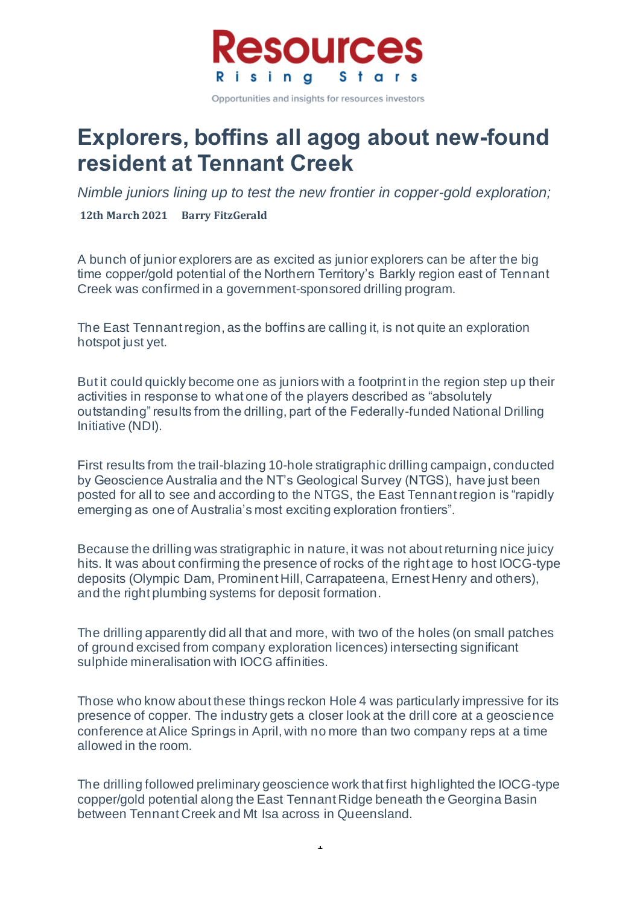

# **Explorers, boffins all agog about new-found resident at Tennant Creek**

*Nimble juniors lining up to test the new frontier in copper-gold exploration;*

**12th March 2021 Barry FitzGerald**

A bunch of junior explorers are as excited as junior explorers can be after the big time copper/gold potential of the Northern Territory's Barkly region east of Tennant Creek was confirmed in a government-sponsored drilling program.

The East Tennant region, as the boffins are calling it, is not quite an exploration hotspot just yet.

But it could quickly become one as juniors with a footprint in the region step up their activities in response to what one of the players described as "absolutely outstanding" results from the drilling, part of the Federally-funded National Drilling Initiative (NDI).

First results from the trail-blazing 10-hole stratigraphic drilling campaign, conducted by Geoscience Australia and the NT's Geological Survey (NTGS), have just been posted for all to see and according to the NTGS, the East Tennant region is "rapidly emerging as one of Australia's most exciting exploration frontiers".

Because the drilling was stratigraphic in nature, it was not about returning nice juicy hits. It was about confirming the presence of rocks of the right age to host IOCG-type deposits (Olympic Dam, Prominent Hill, Carrapateena, Ernest Henry and others), and the right plumbing systems for deposit formation.

The drilling apparently did all that and more, with two of the holes (on small patches of ground excised from company exploration licences) intersecting significant sulphide mineralisation with IOCG affinities.

Those who know about these things reckon Hole 4 was particularly impressive for its presence of copper. The industry gets a closer look at the drill core at a geoscience conference at Alice Springs in April, with no more than two company reps at a time allowed in the room.

The drilling followed preliminary geoscience work that first highlighted the IOCG-type copper/gold potential along the East Tennant Ridge beneath the Georgina Basin between Tennant Creek and Mt Isa across in Queensland.

 $\overline{1}$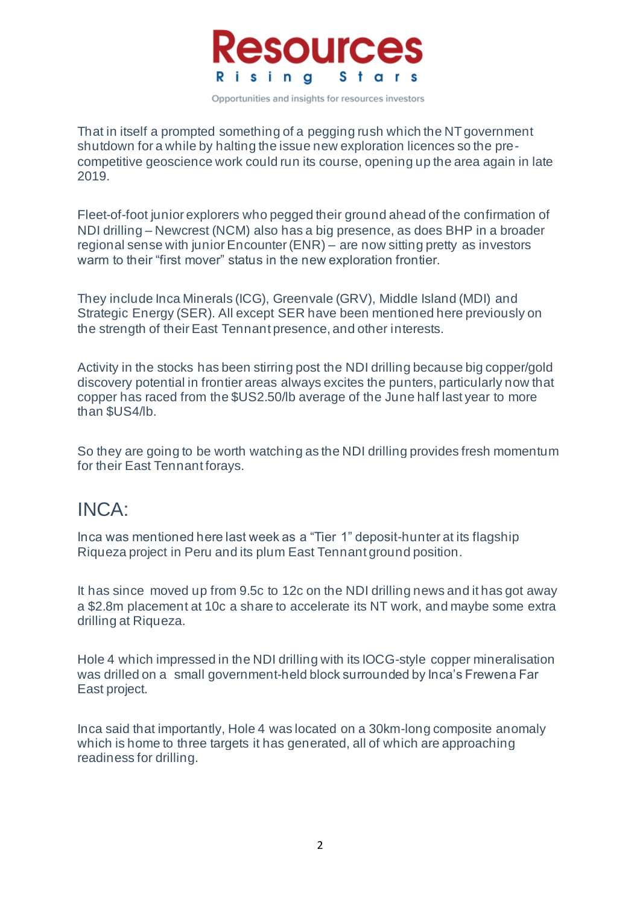

That in itself a prompted something of a pegging rush which the NT government shutdown for a while by halting the issue new exploration licences so the precompetitive geoscience work could run its course, opening up the area again in late 2019.

Fleet-of-foot junior explorers who pegged their ground ahead of the confirmation of NDI drilling – Newcrest (NCM) also has a big presence, as does BHP in a broader regional sense with junior Encounter (ENR) – are now sitting pretty as investors warm to their "first mover" status in the new exploration frontier.

They include Inca Minerals (ICG), Greenvale (GRV), Middle Island (MDI) and Strategic Energy (SER). All except SER have been mentioned here previously on the strength of their East Tennant presence, and other interests.

Activity in the stocks has been stirring post the NDI drilling because big copper/gold discovery potential in frontier areas always excites the punters, particularly now that copper has raced from the \$US2.50/lb average of the June half last year to more than \$US4/lb.

So they are going to be worth watching as the NDI drilling provides fresh momentum for their East Tennant forays.

#### INCA:

Inca was mentioned here last week as a "Tier 1" deposit-hunter at its flagship Riqueza project in Peru and its plum East Tennant ground position.

It has since moved up from 9.5c to 12c on the NDI drilling news and it has got away a \$2.8m placement at 10c a share to accelerate its NT work, and maybe some extra drilling at Riqueza.

Hole 4 which impressed in the NDI drilling with its IOCG-style copper mineralisation was drilled on a small government-held block surrounded by Inca's Frewena Far East project.

Inca said that importantly, Hole 4 was located on a 30km-long composite anomaly which is home to three targets it has generated, all of which are approaching readiness for drilling.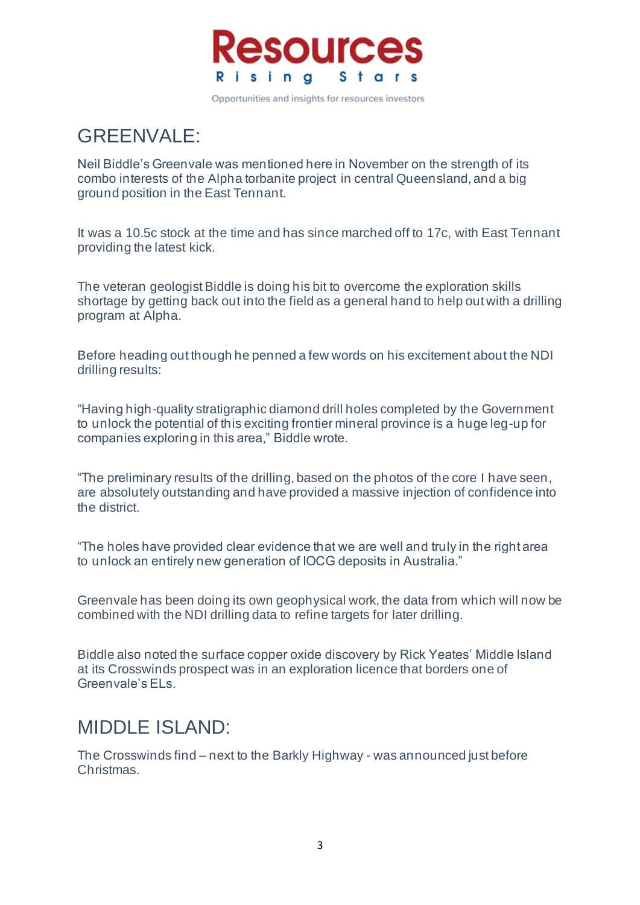

### GREENVALE:

Neil Biddle's Greenvale was mentioned here in November on the strength of its combo interests of the Alpha torbanite project in central Queensland, and a big ground position in the East Tennant.

It was a 10.5c stock at the time and has since marched off to 17c, with East Tennant providing the latest kick.

The veteran geologist Biddle is doing his bit to overcome the exploration skills shortage by getting back out into the field as a general hand to help out with a drilling program at Alpha.

Before heading out though he penned a few words on his excitement about the NDI drilling results:

"Having high-quality stratigraphic diamond drill holes completed by the Government to unlock the potential of this exciting frontier mineral province is a huge leg-up for companies exploring in this area," Biddle wrote.

"The preliminary results of the drilling, based on the photos of the core I have seen, are absolutely outstanding and have provided a massive injection of confidence into the district.

"The holes have provided clear evidence that we are well and truly in the right area to unlock an entirely new generation of IOCG deposits in Australia."

Greenvale has been doing its own geophysical work, the data from which will now be combined with the NDI drilling data to refine targets for later drilling.

Biddle also noted the surface copper oxide discovery by Rick Yeates' Middle Island at its Crosswinds prospect was in an exploration licence that borders one of Greenvale's ELs.

#### MIDDLE ISLAND:

The Crosswinds find – next to the Barkly Highway - was announced just before Christmas.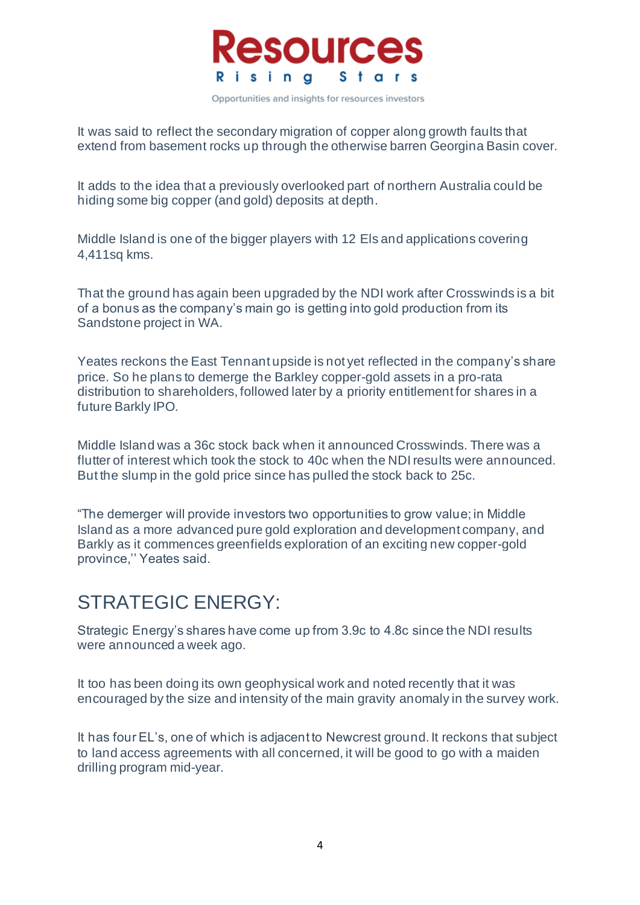

It was said to reflect the secondary migration of copper along growth faults that extend from basement rocks up through the otherwise barren Georgina Basin cover.

It adds to the idea that a previously overlooked part of northern Australia could be hiding some big copper (and gold) deposits at depth.

Middle Island is one of the bigger players with 12 Els and applications covering 4,411sq kms.

That the ground has again been upgraded by the NDI work after Crosswinds is a bit of a bonus as the company's main go is getting into gold production from its Sandstone project in WA.

Yeates reckons the East Tennant upside is not yet reflected in the company's share price. So he plans to demerge the Barkley copper-gold assets in a pro-rata distribution to shareholders, followed later by a priority entitlement for shares in a future Barkly IPO.

Middle Island was a 36c stock back when it announced Crosswinds. There was a flutter of interest which took the stock to 40c when the NDI results were announced. But the slump in the gold price since has pulled the stock back to 25c.

"The demerger will provide investors two opportunities to grow value; in Middle Island as a more advanced pure gold exploration and development company, and Barkly as it commences greenfields exploration of an exciting new copper-gold province,'' Yeates said.

### STRATEGIC ENERGY:

Strategic Energy's shares have come up from 3.9c to 4.8c since the NDI results were announced a week ago.

It too has been doing its own geophysical work and noted recently that it was encouraged by the size and intensity of the main gravity anomaly in the survey work.

It has four EL's, one of which is adjacent to Newcrest ground. It reckons that subject to land access agreements with all concerned, it will be good to go with a maiden drilling program mid-year.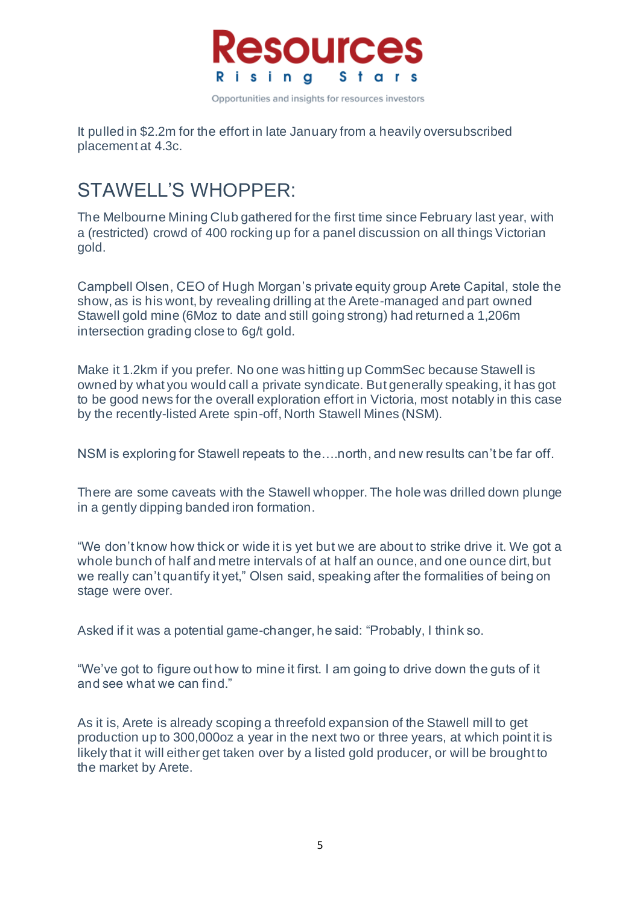

It pulled in \$2.2m for the effort in late January from a heavily oversubscribed placement at 4.3c.

# STAWELL'S WHOPPER:

The Melbourne Mining Club gathered for the first time since February last year, with a (restricted) crowd of 400 rocking up for a panel discussion on all things Victorian gold.

Campbell Olsen, CEO of Hugh Morgan's private equity group Arete Capital, stole the show, as is his wont, by revealing drilling at the Arete-managed and part owned Stawell gold mine (6Moz to date and still going strong) had returned a 1,206m intersection grading close to 6g/t gold.

Make it 1.2km if you prefer. No one was hitting up CommSec because Stawell is owned by what you would call a private syndicate. But generally speaking, it has got to be good news for the overall exploration effort in Victoria, most notably in this case by the recently-listed Arete spin-off, North Stawell Mines (NSM).

NSM is exploring for Stawell repeats to the….north, and new results can't be far off.

There are some caveats with the Stawell whopper. The hole was drilled down plunge in a gently dipping banded iron formation.

"We don't know how thick or wide it is yet but we are about to strike drive it. We got a whole bunch of half and metre intervals of at half an ounce, and one ounce dirt, but we really can't quantify it yet," Olsen said, speaking after the formalities of being on stage were over.

Asked if it was a potential game-changer, he said: "Probably, I think so.

"We've got to figure out how to mine it first. I am going to drive down the guts of it and see what we can find."

As it is, Arete is already scoping a threefold expansion of the Stawell mill to get production up to 300,000oz a year in the next two or three years, at which point it is likely that it will either get taken over by a listed gold producer, or will be brought to the market by Arete.